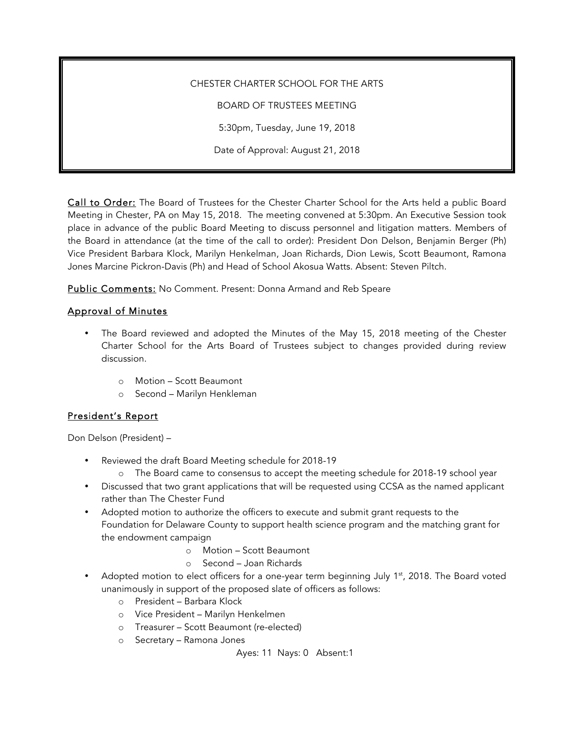CHESTER CHARTER SCHOOL FOR THE ARTS BOARD OF TRUSTEES MEETING 5:30pm, Tuesday, June 19, 2018 Date of Approval: August 21, 2018

Call to Order: The Board of Trustees for the Chester Charter School for the Arts held a public Board Meeting in Chester, PA on May 15, 2018. The meeting convened at 5:30pm. An Executive Session took place in advance of the public Board Meeting to discuss personnel and litigation matters. Members of the Board in attendance (at the time of the call to order): President Don Delson, Benjamin Berger (Ph) Vice President Barbara Klock, Marilyn Henkelman, Joan Richards, Dion Lewis, Scott Beaumont, Ramona Jones Marcine Pickron-Davis (Ph) and Head of School Akosua Watts. Absent: Steven Piltch.

Public Comments: No Comment. Present: Donna Armand and Reb Speare

## Approval of Minutes

- The Board reviewed and adopted the Minutes of the May 15, 2018 meeting of the Chester Charter School for the Arts Board of Trustees subject to changes provided during review discussion.
	- o Motion Scott Beaumont
	- o Second Marilyn Henkleman

# President's Report

Don Delson (President) –

- Reviewed the draft Board Meeting schedule for 2018-19
	- o The Board came to consensus to accept the meeting schedule for 2018-19 school year
- Discussed that two grant applications that will be requested using CCSA as the named applicant rather than The Chester Fund
- Adopted motion to authorize the officers to execute and submit grant requests to the Foundation for Delaware County to support health science program and the matching grant for the endowment campaign
	- o Motion Scott Beaumont
	- o Second Joan Richards
- Adopted motion to elect officers for a one-year term beginning July  $1<sup>st</sup>$ , 2018. The Board voted unanimously in support of the proposed slate of officers as follows:
	- o President Barbara Klock
	- o Vice President Marilyn Henkelmen
	- o Treasurer Scott Beaumont (re-elected)
	- o Secretary Ramona Jones

Ayes: 11 Nays: 0 Absent:1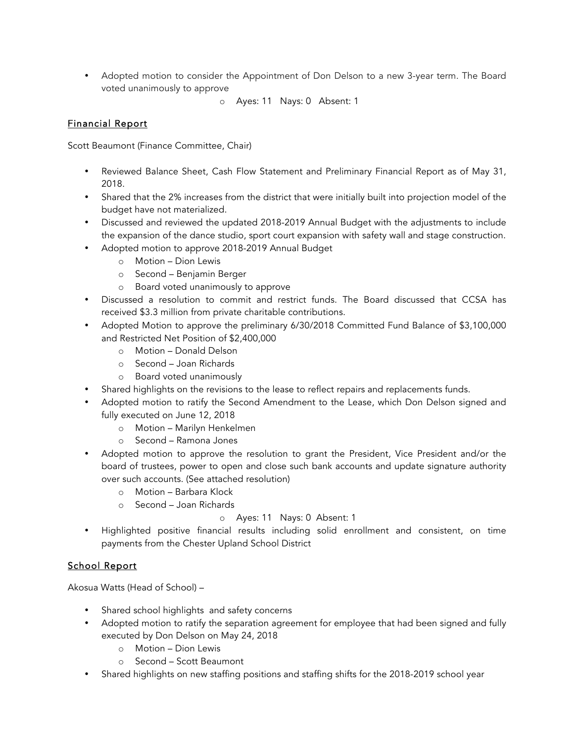- Adopted motion to consider the Appointment of Don Delson to a new 3-year term. The Board voted unanimously to approve
	- o Ayes: 11 Nays: 0 Absent: 1

## Financial Report

Scott Beaumont (Finance Committee, Chair)

- Reviewed Balance Sheet, Cash Flow Statement and Preliminary Financial Report as of May 31, 2018.
- Shared that the 2% increases from the district that were initially built into projection model of the budget have not materialized.
- Discussed and reviewed the updated 2018-2019 Annual Budget with the adjustments to include the expansion of the dance studio, sport court expansion with safety wall and stage construction.
- Adopted motion to approve 2018-2019 Annual Budget
	- o Motion Dion Lewis
	- o Second Benjamin Berger
	- o Board voted unanimously to approve
- Discussed a resolution to commit and restrict funds. The Board discussed that CCSA has received \$3.3 million from private charitable contributions.
- Adopted Motion to approve the preliminary 6/30/2018 Committed Fund Balance of \$3,100,000 and Restricted Net Position of \$2,400,000
	- o Motion Donald Delson
	- o Second Joan Richards
	- o Board voted unanimously
- Shared highlights on the revisions to the lease to reflect repairs and replacements funds.
- Adopted motion to ratify the Second Amendment to the Lease, which Don Delson signed and fully executed on June 12, 2018
	- o Motion Marilyn Henkelmen
	- o Second Ramona Jones
- Adopted motion to approve the resolution to grant the President, Vice President and/or the board of trustees, power to open and close such bank accounts and update signature authority over such accounts. (See attached resolution)
	- o Motion Barbara Klock
	- o Second Joan Richards

## o Ayes: 11 Nays: 0 Absent: 1

• Highlighted positive financial results including solid enrollment and consistent, on time payments from the Chester Upland School District

## School Report

Akosua Watts (Head of School) –

- Shared school highlights and safety concerns
- Adopted motion to ratify the separation agreement for employee that had been signed and fully executed by Don Delson on May 24, 2018
	- o Motion Dion Lewis
	- o Second Scott Beaumont
- Shared highlights on new staffing positions and staffing shifts for the 2018-2019 school year